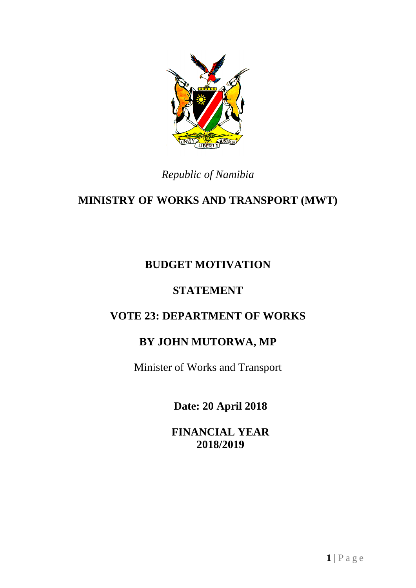

## *Republic of Namibia*

# **MINISTRY OF WORKS AND TRANSPORT (MWT)**

## **BUDGET MOTIVATION**

## **STATEMENT**

## **VOTE 23: DEPARTMENT OF WORKS**

## **BY JOHN MUTORWA, MP**

Minister of Works and Transport

**Date: 20 April 2018**

**FINANCIAL YEAR 2018/2019**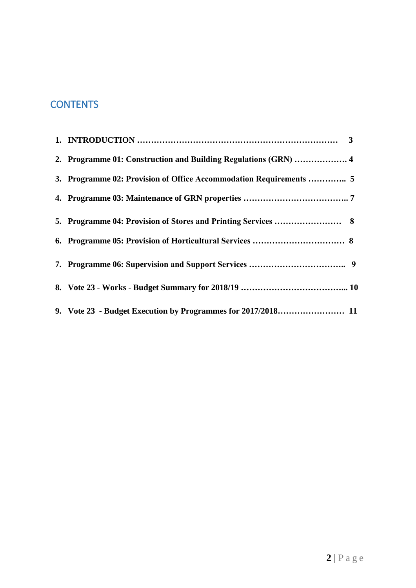## **CONTENTS**

| 2. Programme 01: Construction and Building Regulations (GRN)  4    |  |
|--------------------------------------------------------------------|--|
| 3. Programme 02: Provision of Office Accommodation Requirements  5 |  |
|                                                                    |  |
|                                                                    |  |
|                                                                    |  |
|                                                                    |  |
|                                                                    |  |
|                                                                    |  |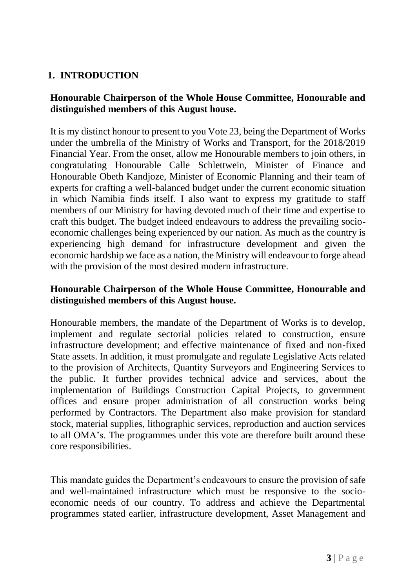## **1. INTRODUCTION**

## **Honourable Chairperson of the Whole House Committee, Honourable and distinguished members of this August house.**

It is my distinct honour to present to you Vote 23, being the Department of Works under the umbrella of the Ministry of Works and Transport, for the 2018/2019 Financial Year. From the onset, allow me Honourable members to join others, in congratulating Honourable Calle Schlettwein, Minister of Finance and Honourable Obeth Kandjoze, Minister of Economic Planning and their team of experts for crafting a well-balanced budget under the current economic situation in which Namibia finds itself. I also want to express my gratitude to staff members of our Ministry for having devoted much of their time and expertise to craft this budget. The budget indeed endeavours to address the prevailing socioeconomic challenges being experienced by our nation. As much as the country is experiencing high demand for infrastructure development and given the economic hardship we face as a nation, the Ministry will endeavour to forge ahead with the provision of the most desired modern infrastructure.

## **Honourable Chairperson of the Whole House Committee, Honourable and distinguished members of this August house.**

Honourable members, the mandate of the Department of Works is to develop, implement and regulate sectorial policies related to construction, ensure infrastructure development; and effective maintenance of fixed and non-fixed State assets. In addition, it must promulgate and regulate Legislative Acts related to the provision of Architects, Quantity Surveyors and Engineering Services to the public. It further provides technical advice and services, about the implementation of Buildings Construction Capital Projects, to government offices and ensure proper administration of all construction works being performed by Contractors. The Department also make provision for standard stock, material supplies, lithographic services, reproduction and auction services to all OMA's. The programmes under this vote are therefore built around these core responsibilities.

This mandate guides the Department's endeavours to ensure the provision of safe and well-maintained infrastructure which must be responsive to the socioeconomic needs of our country. To address and achieve the Departmental programmes stated earlier, infrastructure development, Asset Management and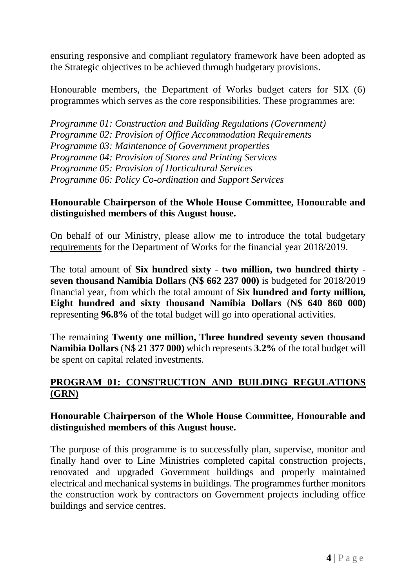ensuring responsive and compliant regulatory framework have been adopted as the Strategic objectives to be achieved through budgetary provisions.

Honourable members, the Department of Works budget caters for SIX (6) programmes which serves as the core responsibilities. These programmes are:

*Programme 01: Construction and Building Regulations (Government) Programme 02: Provision of Office Accommodation Requirements Programme 03: Maintenance of Government properties Programme 04: Provision of Stores and Printing Services Programme 05: Provision of Horticultural Services Programme 06: Policy Co-ordination and Support Services*

### **Honourable Chairperson of the Whole House Committee, Honourable and distinguished members of this August house.**

On behalf of our Ministry, please allow me to introduce the total budgetary requirements for the Department of Works for the financial year 2018/2019.

The total amount of **Six hundred sixty - two million, two hundred thirty seven thousand Namibia Dollars** (**N\$ 662 237 000)** is budgeted for 2018/2019 financial year, from which the total amount of **Six hundred and forty million, Eight hundred and sixty thousand Namibia Dollars** (**N\$ 640 860 000)** representing **96.8%** of the total budget will go into operational activities.

The remaining **Twenty one million, Three hundred seventy seven thousand Namibia Dollars** (N\$ **21 377 000)** which represents **3.2%** of the total budget will be spent on capital related investments.

## **PROGRAM 01: CONSTRUCTION AND BUILDING REGULATIONS (GRN)**

#### **Honourable Chairperson of the Whole House Committee, Honourable and distinguished members of this August house.**

The purpose of this programme is to successfully plan, supervise, monitor and finally hand over to Line Ministries completed capital construction projects, renovated and upgraded Government buildings and properly maintained electrical and mechanical systems in buildings. The programmes further monitors the construction work by contractors on Government projects including office buildings and service centres.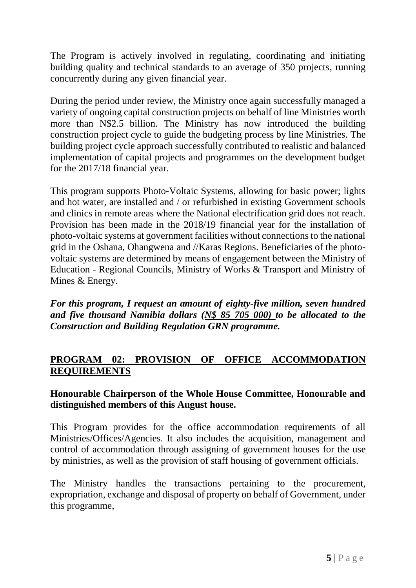The Program is actively involved in regulating, coordinating and initiating building quality and technical standards to an average of 350 projects, running concurrently during any given financial year.

During the period under review, the Ministry once again successfully managed a variety of ongoing capital construction projects on behalf of line Ministries worth more than N\$2.5 billion. The Ministry has now introduced the building construction project cycle to guide the budgeting process by line Ministries. The building project cycle approach successfully contributed to realistic and balanced implementation of capital projects and programmes on the development budget for the 2017/18 financial year.

This program supports Photo-Voltaic Systems, allowing for basic power; lights and hot water, are installed and / or refurbished in existing Government schools and clinics in remote areas where the National electrification grid does not reach. Provision has been made in the 2018/19 financial year for the installation of photo-voltaic systems at government facilities without connections to the national grid in the Oshana, Ohangwena and //Karas Regions. Beneficiaries of the photovoltaic systems are determined by means of engagement between the Ministry of Education - Regional Councils, Ministry of Works & Transport and Ministry of Mines & Energy.

*For this program, I request an amount of eighty-five million, seven hundred and five thousand Namibia dollars (N\$ 85 705 000) to be allocated to the Construction and Building Regulation GRN programme.*

## **PROGRAM 02: PROVISION OF OFFICE ACCOMMODATION REQUIREMENTS**

## **Honourable Chairperson of the Whole House Committee, Honourable and distinguished members of this August house.**

This Program provides for the office accommodation requirements of all Ministries/Offices/Agencies. It also includes the acquisition, management and control of accommodation through assigning of government houses for the use by ministries, as well as the provision of staff housing of government officials.

The Ministry handles the transactions pertaining to the procurement, expropriation, exchange and disposal of property on behalf of Government, under this programme,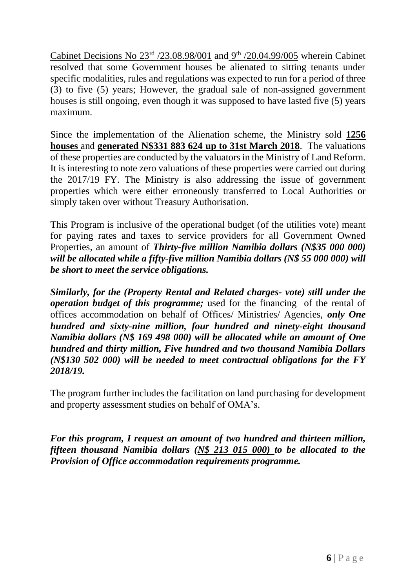Cabinet Decisions No  $23<sup>rd</sup>$  /23.08.98/001 and  $9<sup>th</sup>$  /20.04.99/005 wherein Cabinet resolved that some Government houses be alienated to sitting tenants under specific modalities, rules and regulations was expected to run for a period of three (3) to five (5) years; However, the gradual sale of non-assigned government houses is still ongoing, even though it was supposed to have lasted five (5) years maximum.

Since the implementation of the Alienation scheme, the Ministry sold **1256 houses** and **generated N\$331 883 624 up to 31st March 2018**. The valuations of these properties are conducted by the valuators in the Ministry of Land Reform. It is interesting to note zero valuations of these properties were carried out during the 2017/19 FY. The Ministry is also addressing the issue of government properties which were either erroneously transferred to Local Authorities or simply taken over without Treasury Authorisation.

This Program is inclusive of the operational budget (of the utilities vote) meant for paying rates and taxes to service providers for all Government Owned Properties, an amount of *Thirty-five million Namibia dollars (N\$35 000 000) will be allocated while a fifty-five million Namibia dollars (N\$ 55 000 000) will be short to meet the service obligations.*

*Similarly, for the (Property Rental and Related charges- vote) still under the operation budget of this programme;* used for the financing of the rental of offices accommodation on behalf of Offices/ Ministries/ Agencies, *only One hundred and sixty-nine million, four hundred and ninety-eight thousand Namibia dollars (N\$ 169 498 000) will be allocated while an amount of One hundred and thirty million, Five hundred and two thousand Namibia Dollars (N\$130 502 000) will be needed to meet contractual obligations for the FY 2018/19.*

The program further includes the facilitation on land purchasing for development and property assessment studies on behalf of OMA's.

*For this program, I request an amount of two hundred and thirteen million, fifteen thousand Namibia dollars (N\$ 213 015 000) to be allocated to the Provision of Office accommodation requirements programme.*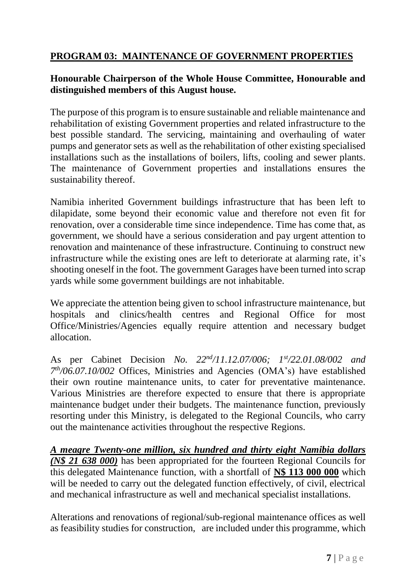## **PROGRAM 03: MAINTENANCE OF GOVERNMENT PROPERTIES**

## **Honourable Chairperson of the Whole House Committee, Honourable and distinguished members of this August house.**

The purpose of this program is to ensure sustainable and reliable maintenance and rehabilitation of existing Government properties and related infrastructure to the best possible standard. The servicing, maintaining and overhauling of water pumps and generator sets as well as the rehabilitation of other existing specialised installations such as the installations of boilers, lifts, cooling and sewer plants. The maintenance of Government properties and installations ensures the sustainability thereof.

Namibia inherited Government buildings infrastructure that has been left to dilapidate, some beyond their economic value and therefore not even fit for renovation, over a considerable time since independence. Time has come that, as government, we should have a serious consideration and pay urgent attention to renovation and maintenance of these infrastructure. Continuing to construct new infrastructure while the existing ones are left to deteriorate at alarming rate, it's shooting oneself in the foot. The government Garages have been turned into scrap yards while some government buildings are not inhabitable.

We appreciate the attention being given to school infrastructure maintenance, but hospitals and clinics/health centres and Regional Office for most Office/Ministries/Agencies equally require attention and necessary budget allocation.

As per Cabinet Decision *No. 22nd/11.12.07/006; 1st/22.01.08/002 and 7 th/06.07.10/002* Offices, Ministries and Agencies (OMA's) have established their own routine maintenance units, to cater for preventative maintenance. Various Ministries are therefore expected to ensure that there is appropriate maintenance budget under their budgets. The maintenance function, previously resorting under this Ministry, is delegated to the Regional Councils, who carry out the maintenance activities throughout the respective Regions.

*A meagre Twenty-one million, six hundred and thirty eight Namibia dollars (N\$ 21 638 000)* has been appropriated for the fourteen Regional Councils for this delegated Maintenance function, with a shortfall of **N\$ 113 000 000** which will be needed to carry out the delegated function effectively, of civil, electrical and mechanical infrastructure as well and mechanical specialist installations.

Alterations and renovations of regional/sub-regional maintenance offices as well as feasibility studies for construction, are included under this programme, which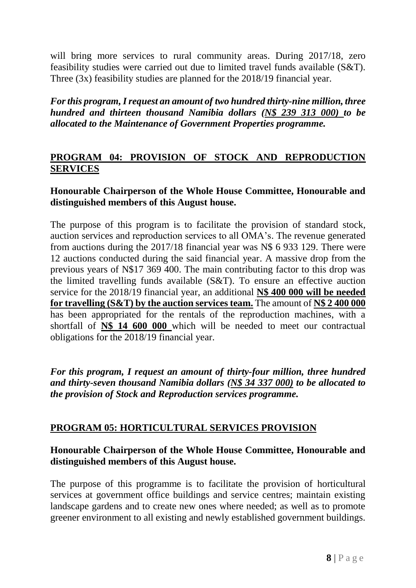will bring more services to rural community areas. During 2017/18, zero feasibility studies were carried out due to limited travel funds available (S&T). Three (3x) feasibility studies are planned for the 2018/19 financial year.

*For this program, I request an amount of two hundred thirty-nine million, three hundred and thirteen thousand Namibia dollars (N\$ 239 313 000) to be allocated to the Maintenance of Government Properties programme.*

### **PROGRAM 04: PROVISION OF STOCK AND REPRODUCTION SERVICES**

## **Honourable Chairperson of the Whole House Committee, Honourable and distinguished members of this August house.**

The purpose of this program is to facilitate the provision of standard stock, auction services and reproduction services to all OMA's. The revenue generated from auctions during the 2017/18 financial year was N\$ 6 933 129. There were 12 auctions conducted during the said financial year. A massive drop from the previous years of N\$17 369 400. The main contributing factor to this drop was the limited travelling funds available (S&T). To ensure an effective auction service for the 2018/19 financial year, an additional **N\$ 400 000 will be needed for travelling (S&T) by the auction services team.** The amount of **N\$ 2 400 000**  has been appropriated for the rentals of the reproduction machines, with a shortfall of **N\$ 14 600 000** which will be needed to meet our contractual obligations for the 2018/19 financial year.

*For this program, I request an amount of thirty-four million, three hundred and thirty-seven thousand Namibia dollars (N\$ 34 337 000) to be allocated to the provision of Stock and Reproduction services programme.*

#### **PROGRAM 05: HORTICULTURAL SERVICES PROVISION**

## **Honourable Chairperson of the Whole House Committee, Honourable and distinguished members of this August house.**

The purpose of this programme is to facilitate the provision of horticultural services at government office buildings and service centres; maintain existing landscape gardens and to create new ones where needed; as well as to promote greener environment to all existing and newly established government buildings.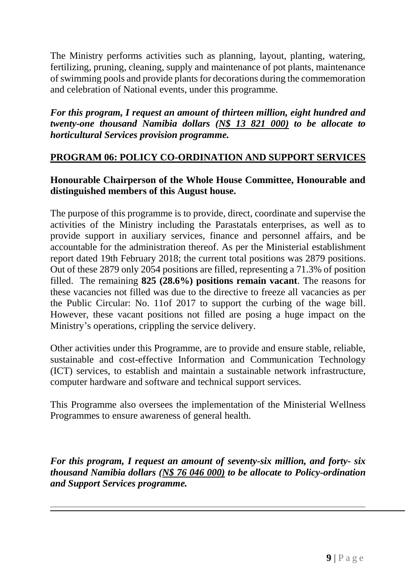The Ministry performs activities such as planning, layout, planting, watering, fertilizing, pruning, cleaning, supply and maintenance of pot plants, maintenance of swimming pools and provide plants for decorations during the commemoration and celebration of National events, under this programme.

*For this program, I request an amount of thirteen million, eight hundred and twenty-one thousand Namibia dollars (N\$ 13 821 000) to be allocate to horticultural Services provision programme.*

## **PROGRAM 06: POLICY CO-ORDINATION AND SUPPORT SERVICES**

### **Honourable Chairperson of the Whole House Committee, Honourable and distinguished members of this August house.**

The purpose of this programme is to provide, direct, coordinate and supervise the activities of the Ministry including the Parastatals enterprises, as well as to provide support in auxiliary services, finance and personnel affairs, and be accountable for the administration thereof. As per the Ministerial establishment report dated 19th February 2018; the current total positions was 2879 positions. Out of these 2879 only 2054 positions are filled, representing a 71.3% of position filled. The remaining **825 (28.6%) positions remain vacant**. The reasons for these vacancies not filled was due to the directive to freeze all vacancies as per the Public Circular: No. 11of 2017 to support the curbing of the wage bill. However, these vacant positions not filled are posing a huge impact on the Ministry's operations, crippling the service delivery.

Other activities under this Programme, are to provide and ensure stable, reliable, sustainable and cost-effective Information and Communication Technology (ICT) services, to establish and maintain a sustainable network infrastructure, computer hardware and software and technical support services.

This Programme also oversees the implementation of the Ministerial Wellness Programmes to ensure awareness of general health.

*For this program, I request an amount of seventy-six million, and forty- six thousand Namibia dollars (N\$ 76 046 000) to be allocate to Policy-ordination and Support Services programme.*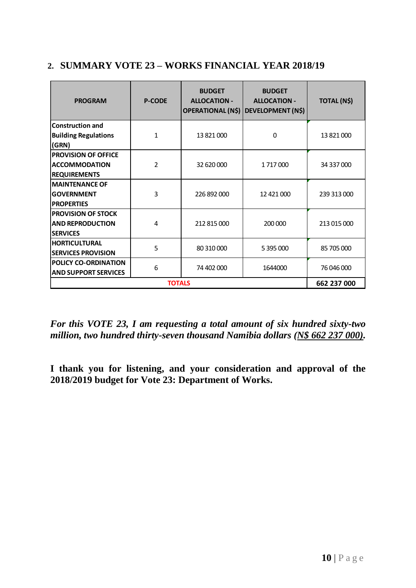## **2. SUMMARY VOTE 23 – WORKS FINANCIAL YEAR 2018/19**

| <b>PROGRAM</b><br><b>P-CODE</b>      |                | <b>BUDGET</b><br><b>ALLOCATION -</b> | <b>BUDGET</b><br><b>ALLOCATION -</b><br>OPERATIONAL (N\$) DEVELOPMENT (N\$) | TOTAL (N\$) |  |
|--------------------------------------|----------------|--------------------------------------|-----------------------------------------------------------------------------|-------------|--|
| <b>Construction and</b>              |                |                                      |                                                                             |             |  |
| <b>Building Regulations</b><br>(GRN) | 1              | 13 821 000                           | 0                                                                           | 13 821 000  |  |
| <b>PROVISION OF OFFICE</b>           |                |                                      |                                                                             |             |  |
| <b>ACCOMMODATION</b>                 | $\overline{2}$ | 32 620 000                           | 1 717 000                                                                   | 34 337 000  |  |
| <b>REQUIREMENTS</b>                  |                |                                      |                                                                             |             |  |
| <b>MAINTENANCE OF</b>                |                |                                      |                                                                             | 239 313 000 |  |
| <b>GOVERNMENT</b>                    | 3              | 226 892 000                          | 12 421 000                                                                  |             |  |
| <b>PROPERTIES</b>                    |                |                                      |                                                                             |             |  |
| <b>PROVISION OF STOCK</b>            |                |                                      |                                                                             | 213 015 000 |  |
| <b>AND REPRODUCTION</b>              | 4              | 212 815 000                          | 200 000                                                                     |             |  |
| <b>SERVICES</b>                      |                |                                      |                                                                             |             |  |
| <b>HORTICULTURAL</b>                 | 5              | 80 310 000                           | 5 395 000                                                                   | 85 705 000  |  |
| <b>SERVICES PROVISION</b>            |                |                                      |                                                                             |             |  |
| POLICY CO-ORDINATION                 | 6              | 74 402 000                           | 1644000                                                                     | 76 046 000  |  |
| <b>AND SUPPORT SERVICES</b>          |                |                                      |                                                                             |             |  |
|                                      | 662 237 000    |                                      |                                                                             |             |  |

*For this VOTE 23, I am requesting a total amount of six hundred sixty-two million, two hundred thirty-seven thousand Namibia dollars (N\$ 662 237 000).*

**I thank you for listening, and your consideration and approval of the 2018/2019 budget for Vote 23: Department of Works.**